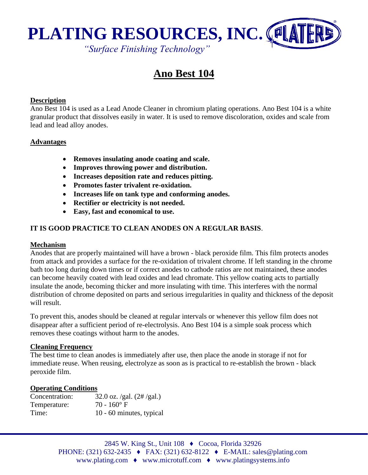

# **Ano Best 104**

#### **Description**

Ano Best 104 is used as a Lead Anode Cleaner in chromium plating operations. Ano Best 104 is a white granular product that dissolves easily in water. It is used to remove discoloration, oxides and scale from lead and lead alloy anodes.

#### **Advantages**

- **Removes insulating anode coating and scale.**
- **Improves throwing power and distribution.**
- **Increases deposition rate and reduces pitting.**
- **Promotes faster trivalent re-oxidation.**
- **Increases life on tank type and conforming anodes.**
- **Rectifier or electricity is not needed.**
- **Easy, fast and economical to use.**

### **IT IS GOOD PRACTICE TO CLEAN ANODES ON A REGULAR BASIS**.

#### **Mechanism**

Anodes that are properly maintained will have a brown - black peroxide film. This film protects anodes from attack and provides a surface for the re-oxidation of trivalent chrome. If left standing in the chrome bath too long during down times or if correct anodes to cathode ratios are not maintained, these anodes can become heavily coated with lead oxides and lead chromate. This yellow coating acts to partially insulate the anode, becoming thicker and more insulating with time. This interferes with the normal distribution of chrome deposited on parts and serious irregularities in quality and thickness of the deposit will result.

To prevent this, anodes should be cleaned at regular intervals or whenever this yellow film does not disappear after a sufficient period of re-electrolysis. Ano Best 104 is a simple soak process which removes these coatings without harm to the anodes.

#### **Cleaning Frequency**

The best time to clean anodes is immediately after use, then place the anode in storage if not for immediate reuse. When reusing, electrolyze as soon as is practical to re-establish the brown - black peroxide film.

#### **Operating Conditions**

| Concentration: | 32.0 oz. /gal. $(2# / gal.)$ |
|----------------|------------------------------|
| Temperature:   | $70 - 160$ °F                |
| Time:          | 10 - 60 minutes, typical     |

2845 W. King St., Unit 108 ♦ Cocoa, Florida 32926 PHONE: (321) 632-2435 ♦ FAX: (321) 632-8122 ♦ E-MAIL: sales@plating.com www.plating.com ♦ www.microtuff.com ♦ www.platingsystems.info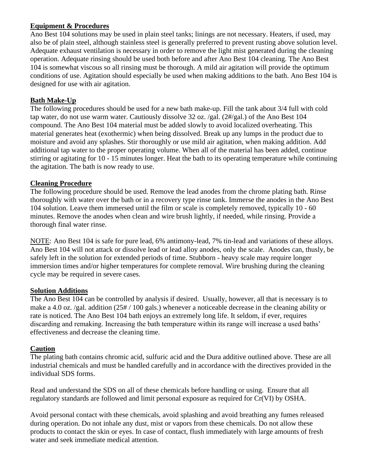## **Equipment & Procedures**

Ano Best 104 solutions may be used in plain steel tanks; linings are not necessary. Heaters, if used, may also be of plain steel, although stainless steel is generally preferred to prevent rusting above solution level. Adequate exhaust ventilation is necessary in order to remove the light mist generated during the cleaning operation. Adequate rinsing should be used both before and after Ano Best 104 cleaning. The Ano Best 104 is somewhat viscous so all rinsing must be thorough. A mild air agitation will provide the optimum conditions of use. Agitation should especially be used when making additions to the bath. Ano Best 104 is designed for use with air agitation.

## **Bath Make-Up**

The following procedures should be used for a new bath make-up. Fill the tank about 3/4 full with cold tap water, do not use warm water. Cautiously dissolve 32 oz. /gal. (2#/gal.) of the Ano Best 104 compound. The Ano Best 104 material must be added slowly to avoid localized overheating. This material generates heat (exothermic) when being dissolved. Break up any lumps in the product due to moisture and avoid any splashes. Stir thoroughly or use mild air agitation, when making addition. Add additional tap water to the proper operating volume. When all of the material has been added, continue stirring or agitating for 10 - 15 minutes longer. Heat the bath to its operating temperature while continuing the agitation. The bath is now ready to use.

## **Cleaning Procedure**

The following procedure should be used. Remove the lead anodes from the chrome plating bath. Rinse thoroughly with water over the bath or in a recovery type rinse tank. Immerse the anodes in the Ano Best 104 solution. Leave them immersed until the film or scale is completely removed, typically 10 - 60 minutes. Remove the anodes when clean and wire brush lightly, if needed, while rinsing. Provide a thorough final water rinse.

NOTE: Ano Best 104 is safe for pure lead, 6% antimony-lead, 7% tin-lead and variations of these alloys. Ano Best 104 will not attack or dissolve lead or lead alloy anodes, only the scale. Anodes can, thusly, be safely left in the solution for extended periods of time. Stubborn - heavy scale may require longer immersion times and/or higher temperatures for complete removal. Wire brushing during the cleaning cycle may be required in severe cases.

## **Solution Additions**

The Ano Best 104 can be controlled by analysis if desired. Usually, however, all that is necessary is to make a 4.0 oz. /gal. addition (25# / 100 gals.) whenever a noticeable decrease in the cleaning ability or rate is noticed. The Ano Best 104 bath enjoys an extremely long life. It seldom, if ever, requires discarding and remaking. Increasing the bath temperature within its range will increase a used baths' effectiveness and decrease the cleaning time.

## **Caution**

The plating bath contains chromic acid, sulfuric acid and the Dura additive outlined above. These are all industrial chemicals and must be handled carefully and in accordance with the directives provided in the individual SDS forms.

Read and understand the SDS on all of these chemicals before handling or using. Ensure that all regulatory standards are followed and limit personal exposure as required for Cr(VI) by OSHA.

Avoid personal contact with these chemicals, avoid splashing and avoid breathing any fumes released during operation. Do not inhale any dust, mist or vapors from these chemicals. Do not allow these products to contact the skin or eyes. In case of contact, flush immediately with large amounts of fresh water and seek immediate medical attention.